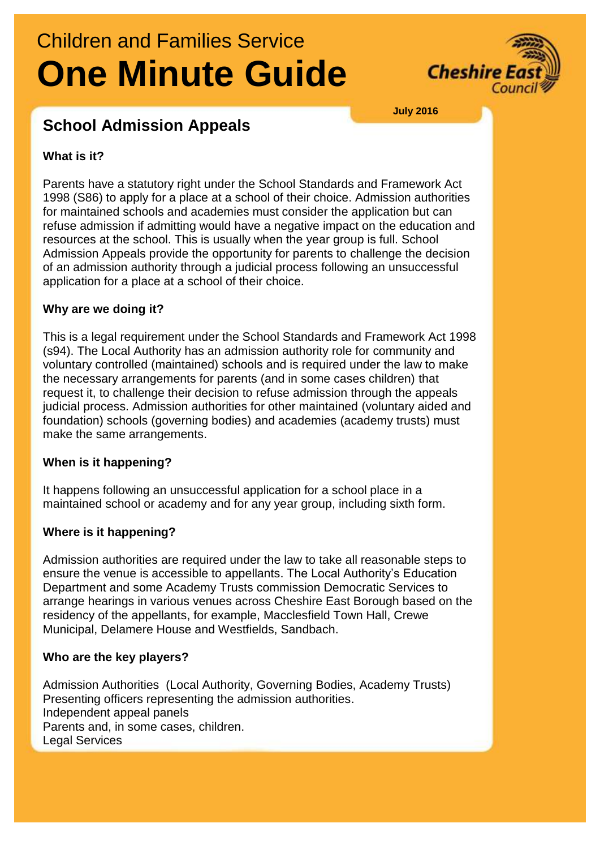# Children and Families Service **One Minute Guide**



**July 2016**

# **School Admission Appeals**

## **What is it?**

Parents have a statutory right under the School Standards and Framework Act 1998 (S86) to apply for a place at a school of their choice. Admission authorities for maintained schools and academies must consider the application but can refuse admission if admitting would have a negative impact on the education and resources at the school. This is usually when the year group is full. School Admission Appeals provide the opportunity for parents to challenge the decision of an admission authority through a judicial process following an unsuccessful application for a place at a school of their choice.

### **Why are we doing it?**

This is a legal requirement under the School Standards and Framework Act 1998 (s94). The Local Authority has an admission authority role for community and voluntary controlled (maintained) schools and is required under the law to make the necessary arrangements for parents (and in some cases children) that request it, to challenge their decision to refuse admission through the appeals judicial process. Admission authorities for other maintained (voluntary aided and foundation) schools (governing bodies) and academies (academy trusts) must make the same arrangements.

# **When is it happening?**

It happens following an unsuccessful application for a school place in a maintained school or academy and for any year group, including sixth form.

# **Where is it happening?**

Admission authorities are required under the law to take all reasonable steps to ensure the venue is accessible to appellants. The Local Authority's Education Department and some Academy Trusts commission Democratic Services to arrange hearings in various venues across Cheshire East Borough based on the residency of the appellants, for example, Macclesfield Town Hall, Crewe Municipal, Delamere House and Westfields, Sandbach.

### **Who are the key players?**

Admission Authorities (Local Authority, Governing Bodies, Academy Trusts) Presenting officers representing the admission authorities. Independent appeal panels Parents and, in some cases, children. Legal Services